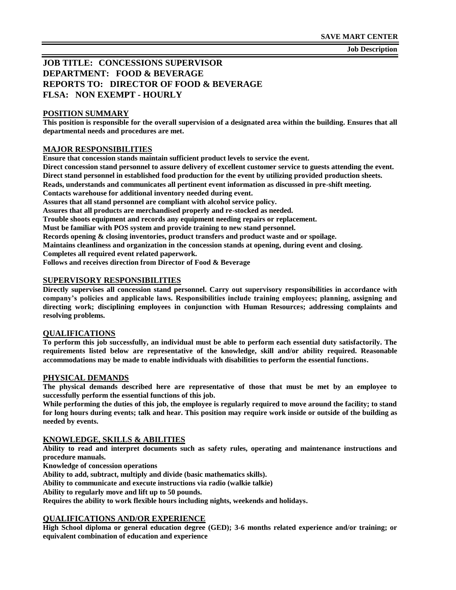**Job Description**

# **JOB TITLE: CONCESSIONS SUPERVISOR DEPARTMENT: FOOD & BEVERAGE REPORTS TO: DIRECTOR OF FOOD & BEVERAGE FLSA: NON EXEMPT - HOURLY**

#### **POSITION SUMMARY**

**This position is responsible for the overall supervision of a designated area within the building. Ensures that all departmental needs and procedures are met.**

#### **MAJOR RESPONSIBILITIES**

**Ensure that concession stands maintain sufficient product levels to service the event.**

**Direct concession stand personnel to assure delivery of excellent customer service to guests attending the event. Direct stand personnel in established food production for the event by utilizing provided production sheets. Reads, understands and communicates all pertinent event information as discussed in pre-shift meeting.**

**Contacts warehouse for additional inventory needed during event.**

**Assures that all stand personnel are compliant with alcohol service policy.**

**Assures that all products are merchandised properly and re-stocked as needed.**

**Trouble shoots equipment and records any equipment needing repairs or replacement.**

**Must be familiar with POS system and provide training to new stand personnel.**

**Records opening & closing inventories, product transfers and product waste and or spoilage.**

**Maintains cleanliness and organization in the concession stands at opening, during event and closing.**

**Completes all required event related paperwork.**

**Follows and receives direction from Director of Food & Beverage**

#### **SUPERVISORY RESPONSIBILITIES**

**Directly supervises all concession stand personnel. Carry out supervisory responsibilities in accordance with company's policies and applicable laws. Responsibilities include training employees; planning, assigning and directing work; disciplining employees in conjunction with Human Resources; addressing complaints and resolving problems.**

#### **QUALIFICATIONS**

**To perform this job successfully, an individual must be able to perform each essential duty satisfactorily. The requirements listed below are representative of the knowledge, skill and/or ability required. Reasonable accommodations may be made to enable individuals with disabilities to perform the essential functions.**

#### **PHYSICAL DEMANDS**

**The physical demands described here are representative of those that must be met by an employee to successfully perform the essential functions of this job.**

**While performing the duties of this job, the employee is regularly required to move around the facility; to stand for long hours during events; talk and hear. This position may require work inside or outside of the building as needed by events.**

#### **KNOWLEDGE, SKILLS & ABILITIES**

**Ability to read and interpret documents such as safety rules, operating and maintenance instructions and procedure manuals.**

**Knowledge of concession operations**

**Ability to add, subtract, multiply and divide (basic mathematics skills).**

**Ability to communicate and execute instructions via radio (walkie talkie)**

**Ability to regularly move and lift up to 50 pounds.**

**Requires the ability to work flexible hours including nights, weekends and holidays.**

#### **QUALIFICATIONS AND/OR EXPERIENCE**

**High School diploma or general education degree (GED); 3-6 months related experience and/or training; or equivalent combination of education and experience**